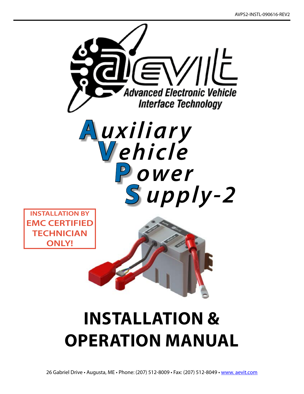

# **INSTALLATION & Operation MANUAL**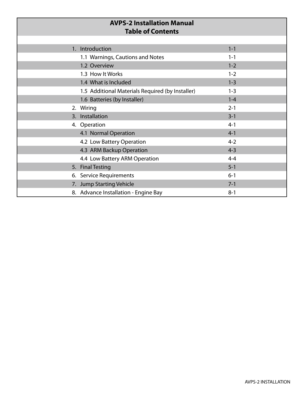| <b>AVPS-2 Installation Manual</b><br><b>Table of Contents</b> |                                                  |         |  |
|---------------------------------------------------------------|--------------------------------------------------|---------|--|
|                                                               |                                                  |         |  |
|                                                               | 1. Introduction                                  | $1 - 1$ |  |
|                                                               | 1.1 Warnings, Cautions and Notes                 | $1 - 1$ |  |
|                                                               | 1.2 Overview                                     | $1 - 2$ |  |
|                                                               | 1.3 How It Works                                 | $1 - 2$ |  |
|                                                               | 1.4 What is Included                             | $1 - 3$ |  |
|                                                               | 1.5 Additional Materials Required (by Installer) | $1 - 3$ |  |
|                                                               | 1.6 Batteries (by Installer)                     | $1 - 4$ |  |
|                                                               | 2. Wiring                                        | $2 - 1$ |  |
|                                                               | 3. Installation                                  | $3 - 1$ |  |
|                                                               | 4. Operation                                     | $4 - 1$ |  |
|                                                               | 4.1 Normal Operation                             | $4 - 1$ |  |
|                                                               | 4.2 Low Battery Operation                        | $4 - 2$ |  |
|                                                               | 4.3 ARM Backup Operation                         | $4 - 3$ |  |
|                                                               | 4.4 Low Battery ARM Operation                    | $4 - 4$ |  |
|                                                               | 5. Final Testing                                 | $5 - 1$ |  |
|                                                               | 6. Service Requirements                          | $6 - 1$ |  |
|                                                               | 7. Jump Starting Vehicle                         | $7 - 1$ |  |
|                                                               | 8. Advance Installation - Engine Bay             | $8 - 1$ |  |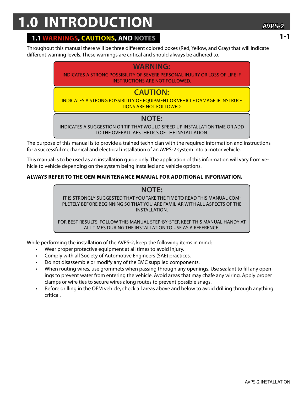## **1.0 INTRODUCTION AVPS-2**

Throughout this manual there will be three different colored boxes (Red, Yellow, and Gray) that will indicate different warning levels. These warnings are critical and should always be adhered to.

#### **WARNING:**

Indicates a strong possibility of severe personal injury or loss of life if instructions are not followed.

### **CAUTION:**

Indicates a strong possibility of equipment or vehicle damage if instructions are not followed.

## **NOTE:**

Indicates a suggestion or tip that would speed up installation time or add TO the overall aesthetics of the installation.

The purpose of this manual is to provide a trained technician with the required information and instructions for a successful mechanical and electrical installation of an AVPS-2 system into a motor vehicle.

This manual is to be used as an installation guide only. The application of this information will vary from vehicle to vehicle depending on the system being installed and vehicle options.

#### **Always refer to the OEM maintenance manual for additional information.**

**NOTE:** It is strongly suggested that you take the time to read this manual completely before beginning so that you are familiar with all aspects of the installation.

For best results, follow this manual step-by-step. KEEP THIS MANUAL HANDY AT ALL TIMES DURING THE INSTALLATION TO USE AS A REFERENCE.

While performing the installation of the AVPS-2, keep the following items in mind:

- Wear proper protective equipment at all times to avoid injury.
- Comply with all Society of Automotive Engineers (SAE) practices.
- Do not disassemble or modify any of the EMC supplied components.
- When routing wires, use grommets when passing through any openings. Use sealant to fill any openings to prevent water from entering the vehicle. Avoid areas that may chafe any wiring. Apply proper clamps or wire ties to secure wires along routes to prevent possible snags.
- Before drilling in the OEM vehicle, check all areas above and below to avoid drilling through anything critical.

#### **1-1**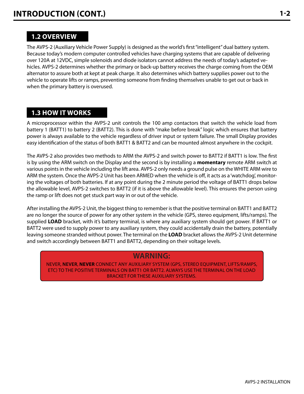#### **1.2 OVERVIEW**

The AVPS-2 (Auxiliary Vehicle Power Supply) is designed as the world's first "intelligent" dual battery system. Because today's modern computer controlled vehicles have charging systems that are capable of delivering over 120A at 12VDC, simple solenoids and diode isolators cannot address the needs of today's adapted vehicles. AVPS-2 determines whether the primary or back-up battery receives the charge coming from the OEM alternator to assure both at kept at peak charge. It also determines which battery supplies power out to the vehicle to operate lifts or ramps, preventing someone from finding themselves unable to get out or back in when the primary battery is overused.

#### **1.3 HOW IT WORKS**

A microprocessor within the AVPS-2 unit controls the 100 amp contactors that switch the vehicle load from battery 1 (BATT1) to battery 2 (BATT2). This is done with "make before break" logic which ensures that battery power is always available to the vehicle regardless of driver input or system failure. The small Display provides easy identification of the status of both BATT1 & BATT2 and can be mounted almost anywhere in the cockpit.

The AVPS-2 also provides two methods to ARM the AVPS-2 and switch power to BATT2 if BATT1 is low. The first is by using the ARM switch on the Display and the second is by installing a **momentary** remote ARM switch at various points in the vehicle including the lift area. AVPS-2 only needs a ground pulse on the WHITE ARM wire to ARM the system. Once the AVPS-2 Unit has been ARMED when the vehicle is off, it acts as a 'watchdog', monitoring the voltages of both batteries. If at any point during the 2 minute period the voltage of BATT1 drops below the allowable level, AVPS-2 switches to BATT2 (if it is above the allowable level). This ensures the person using the ramp or lift does not get stuck part way in or out of the vehicle.

After installing the AVPS-2 Unit, the biggest thing to remember is that the positive terminal on BATT1 and BATT2 are no longer the source of power for any other system in the vehicle (GPS, stereo equipment, lifts/ramps). The supplied **LOAD** bracket, with it's battery terminal, is where any auxiliary system should get power. If BATT1 or BATT2 were used to supply power to any auxiliary system, they could accidentally drain the battery, potentially leaving someone stranded without power. The terminal on the **LOAD** bracket allows the AVPS-2 Unit determine and switch accordingly between BATT1 and BATT2, depending on their voltage levels.

#### **WARNING:**

NEVER, **NEVER**, **NEVER** CONNECT ANY AUXILIARY SYSTEM (GPS, STEREO EQUIPMENT, LIFTS/RAMPS, ETC) TO THE POSITIVE TERMINALS ON BATT1 OR BATT2. Always USE THE TERMINAL ON THE LOAD BRACKET FOR THESE AUXILIARY Systems.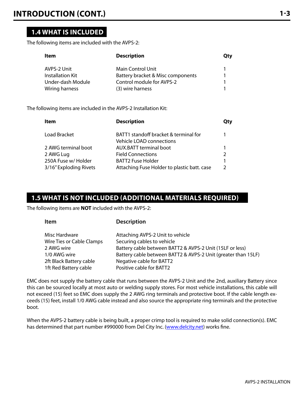#### **1.4 WHAT IS INCLUDED**

The following items are included with the AVPS-2:

| Item                    | <b>Description</b>                | Qty |
|-------------------------|-----------------------------------|-----|
| AVPS-2 Unit             | Main Control Unit                 |     |
| <b>Installation Kit</b> | Battery bracket & Misc components |     |
| Under-dash Module       | Control module for AVPS-2         |     |
| Wiring harness          | (3) wire harness                  |     |

The following items are included in the AVPS-2 Installation Kit:

| ltem                   | <b>Description</b>                                                | Qty           |
|------------------------|-------------------------------------------------------------------|---------------|
| Load Bracket           | BATT1 standoff bracket & terminal for<br>Vehicle LOAD connections |               |
| 2 AWG terminal boot    | <b>AUX.BATT terminal boot</b>                                     | 1             |
| 2 AWG Lug              | <b>Field Connections</b>                                          | $\mathcal{P}$ |
| 250A Fuse w/ Holder    | <b>BATT2 Fuse Holder</b>                                          | 1             |
| 3/16" Exploding Rivets | Attaching Fuse Holder to plastic batt. case                       | $\mathcal{P}$ |

#### **1.5 WHAT IS NOT INCLUDED (ADDITIONAL MATERIALS REQUIRED)**

The following items are **NOT** included with the AVPS-2:

| v<br>.,<br>. .<br>۰. |
|----------------------|
|----------------------|

#### **Description**

| Misc Hardware             | Attaching AVPS-2 Unit to vehicle                              |
|---------------------------|---------------------------------------------------------------|
| Wire Ties or Cable Clamps | Securing cables to vehicle                                    |
| 2 AWG wire                | Battery cable between BATT2 & AVPS-2 Unit (15LF or less)      |
| 1/0 AWG wire              | Battery cable between BATT2 & AVPS-2 Unit (greater than 15LF) |
| 2ft Black Battery cable   | Negative cable for BATT2                                      |
| 1ft Red Battery cable     | Positive cable for BATT2                                      |

EMC does not supply the battery cable that runs between the AVPS-2 Unit and the 2nd, auxiliary Battery since this can be sourced locally at most auto or welding supply stores. For most vehicle installations, this cable will not exceed (15) feet so EMC does supply the 2 AWG ring terminals and protective boot. If the cable length exceeds (15) feet, install 1/0 AWG cable instead and also source the appropriate ring terminals and the protective boot.

When the AVPS-2 battery cable is being built, a proper crimp tool is required to make solid connection(s). EMC has determined that part number #990000 from Del City Inc. [\(www.delcity.net](http://www.delcity.net)) works fine.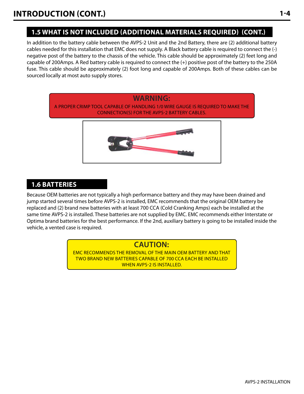In addition to the battery cable between the AVPS-2 Unit and the 2nd Battery, there are (2) additional battery cables needed for this installation that EMC does not supply. A Black battery cable is required to connect the (-) negative post of the battery to the chassis of the vehicle. This cable should be approximately (2) feet long and capable of 200Amps. A Red battery cable is required to connect the (+) positive post of the battery to the 250A fuse. This cable should be approximately (2) foot long and capable of 200Amps. Both of these cables can be sourced locally at most auto supply stores.



#### **1.6 BATTERIES**

Because OEM batteries are not typically a high performance battery and they may have been drained and jump started several times before AVPS-2 is installed, EMC recommends that the original OEM battery be replaced and (2) brand new batteries with at least 700 CCA (Cold Cranking Amps) each be installed at the same time AVPS-2 is installed. These batteries are not supplied by EMC. EMC recommends either Interstate or Optima brand batteries for the best performance. If the 2nd, auxiliary battery is going to be installed inside the vehicle, a vented case is required.

## **CAUTION:**

EMC RECOMMENDS the removal of the main OEM battery and that two brand new batteries capable of 700 CCA each be installed WHEN AVPS-2 IS INSTALLED.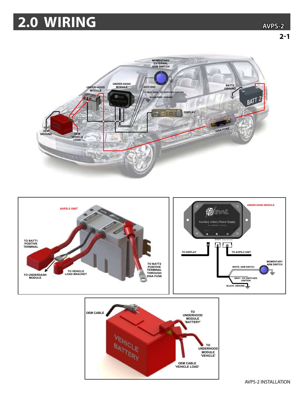## 2.0 WIRING







**AVPS-2 INSTALLATION**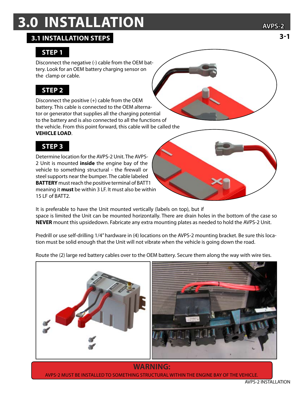## **3.0 INSTALLATION**

#### **3.1 installation steps**

## **STep 1**

Disconnect the negative (-) cable from the OEM battery. Look for an OEM battery charging sensor on the clamp or cable.

## **STep 2**

Disconnect the positive (+) cable from the OEM battery. This cable is connected to the OEM alternator or generator that supplies all the charging potential to the battery and is also connected to all the functions of the vehicle. From this point forward, this cable will be called the **VEHICLE LOAD**.

## **STep 3**

Determine location for the AVPS-2 Unit. The AVPS-2 Unit is mounted **inside** the engine bay of the vehicle to something structural - the firewall or steel supports near the bumper. The cable labeled **BATTERY** must reach the positive terminal of BATT1 meaning it **must** be within 3 LF. It must also be within 15 LF of BATT2.

It is preferable to have the Unit mounted vertically (labels on top), but if space is limited the Unit can be mounted horizontally. There are drain holes in the bottom of the case so **NEVER** mount this upsidedown. Fabricate any extra mounting plates as needed to hold the AVPS-2 Unit.

Predrill or use self-drilling 1/4" hardware in (4) locations on the AVPS-2 mounting bracket. Be sure this location must be solid enough that the Unit will not vibrate when the vehicle is going down the road.



Route the (2) large red battery cables over to the OEM battery. Secure them along the way with wire ties.

AVPS-2 must be installed to something structural within the engine bay of the vehicle.

**3-1**

**AVPS-2**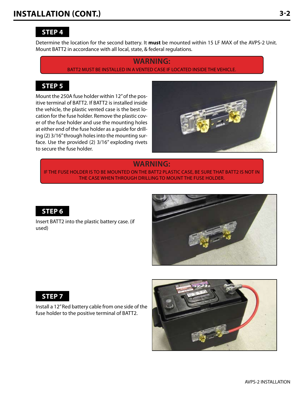Determine the location for the second battery. It **must** be mounted within 15 LF MAX of the AVPS-2 Unit. Mount BATT2 in accordance with all local, state, & federal regulations.

#### **WARNING:** BATT2 must be installed in a vented case if located inside the vehicle.

#### **STep 5**

Mount the 250A fuse holder within 12" of the positive terminal of BATT2. If BATT2 is installed inside the vehicle, the plastic vented case is the best location for the fuse holder. Remove the plastic cover of the fuse holder and use the mounting holes at either end of the fuse holder as a guide for drilling (2) 3/16" through holes into the mounting surface. Use the provided (2) 3/16" exploding rivets to secure the fuse holder.



#### **WARNING:**

IF THE FUSE HOLDER IS TO BE MOUNTED ON THE BATT2 PLASTIC CASE, BE SURE THAT BATT2 IS NOT IN THE CASE WHEN Through DRILLING TO MOUNT THE FUSE HOLDER.



Insert BATT2 into the plastic battery case. (if used)





Install a 12" Red battery cable from one side of the fuse holder to the positive terminal of BATT2.

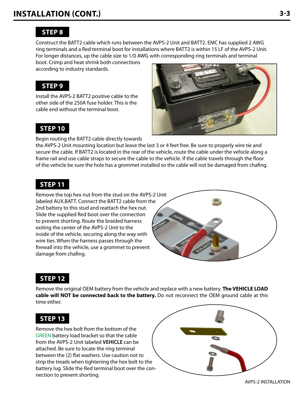Construct the BATT2 cable which runs between the AVPS-2 Unit and BATT2. EMC has supplied 2 AWG ring terminals and a Red terminal boot for installations where BATT2 is within 15 LF of the AVPS-2 Unit. For longer distances, up the cable size to 1/0 AWG with corresponding ring terminals and terminal

boot. Crimp and heat shrink both connections according to industry standards.

#### **STep 9**

Install the AVPS-2 BATT2 positive cable to the other side of the 250A fuse holder. This is the cable end without the terminal boot.

#### **STep 10**

Begin routing the BATT2 cable directly towards

the AVPS-2 Unit mounting location but leave the last 3 or 4 feet free. Be sure to properly wire tie and secure the cable. If BATT2 is located in the rear of the vehicle, route the cable under the vehicle along a frame rail and use cable straps to secure the cable to the vehicle. If the cable travels through the floor of the vehicle be sure the hole has a grommet installed so the cable will not be damaged from chafing.

#### **STep 11**

Remove the top hex nut from the stud on the AVPS-2 Unit labeled AUX.BATT. Connect the BATT2 cable from the 2nd battery to this stud and reattach the hex nut. Slide the supplied Red boot over the connection to prevent shorting. Route the braided harness exiting the center of the AVPS-2 Unit to the inside of the vehicle, securing along the way with wire ties. When the harness passes through the firewall into the vehicle, use a grommet to prevent damage from chafing.



### **STep 12**

Remove the original OEM battery from the vehicle and replace with a new battery. **The VEHICLE LOAD cable will NOT be connected back to the battery.** Do not reconnect the OEM ground cable at this time either.

### **STep 13**

Remove the hex bolt from the bottom of the GREEN battery load bracket so that the cable from the AVPS-2 Unit labeled **VEHICLE** can be attached. Be sure to locate the ring terminal between the (2) flat washers. Use caution not to strip the treads when tightening the hex bolt to the battery lug. Slide the Red terminal boot over the connection to prevent shorting.



AVPS-2 INSTALLATION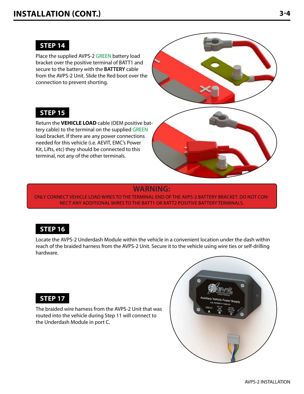Place the supplied AVPS-2 GREEN battery load bracket over the positive terminal of BATT1 and secure to the battery with the **BATTERY** cable from the AVPS-2 Unit. Slide the Red boot over the connection to prevent shorting.



### **STep 15**

Return the **VEHICLE LOAD** cable (OEM positive battery cable) to the terminal on the supplied GREEN load bracket. If there are any power connections needed for this vehicle (i.e. AEVIT, EMC's Power Kit, Lifts, etc) they should be connected to this terminal, not any of the other terminals.



#### **WARNING:**

Only connect VEHICLE load wires to the TERMINAL end of the AVPS-2 battery bracket. DO NOT CON-NECT ANY ADDITIONAL WIRES TO THE BATT1 OR BATT2 POSITIVE BATTERY TERMINALS.

### **STep 16**

Locate the AVPS-2 Underdash Module within the vehicle in a convenient location under the dash within reach of the braided harness from the AVPS-2 Unit. Secure it to the vehicle using wire ties or self-drilling hardware.

#### **STep 17**

The braided wire harness from the AVPS-2 Unit that was routed into the vehicle during Step 11 will connect to the Underdash Module in port C.

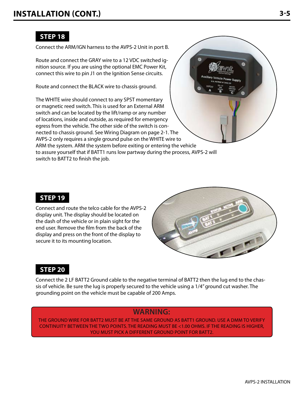Connect the ARM/IGN harness to the AVPS-2 Unit in port B.

Route and connect the GRAY wire to a 12 VDC switched ignition source. If you are using the optional EMC Power Kit, connect this wire to pin J1 on the Ignition Sense circuits.

Route and connect the BLACK wire to chassis ground.

The WHITE wire should connect to any SPST momentary or magnetic reed switch. This is used for an External ARM switch and can be located by the lift/ramp or any number of locations, inside and outside, as required for emergency egress from the vehicle. The other side of the switch is connected to chassis ground. See Wiring Diagram on page 2-1. The AVPS-2 only requires a single ground pulse on the WHITE wire to ARM the system. ARM the system before exiting or entering the vehicle to assure yourself that if BATT1 runs low partway during the process, AVPS-2 will switch to BATT2 to finish the job.

### **STep 19**

Connect and route the telco cable for the AVPS-2 display unit. The display should be located on the dash of the vehicle or in plain sight for the end user. Remove the film from the back of the display and press on the front of the display to secure it to its mounting location.



## **STep 20**

Connect the 2 LF BATT2 Ground cable to the negative terminal of BATT2 then the lug end to the chassis of vehicle. Be sure the lug is properly secured to the vehicle using a 1/4" ground cut washer. The grounding point on the vehicle must be capable of 200 Amps.

#### **WARNING:**

The ground wire for BATT2 must be at the same ground as BATT1 ground. Use a DMM to verify continuity between the two points. The reading must be <1.00 ohms. If the reading is higher, you MUST pick a different ground point for BATT2.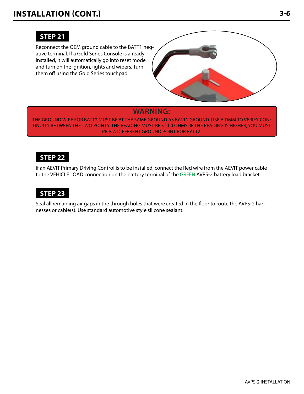#### **Step 21**

Reconnect the OEM ground cable to the BATT1 negative terminal. If a Gold Series Console is already installed, it will automatically go into reset mode and turn on the ignition, lights and wipers. Turn them off using the Gold Series touchpad.



#### **WARNING:**

THE GROUND WIRE FOR BATT2 MUST BE AT THE SAME GROUND AS BATT1 GROUND. USE A DMM TO VERIFY CONtinuity between the two points. The reading must be <1.00 ohms. If the reading is higher, you MUST pick a different ground point for BATT2.

#### **Step 22**

If an AEVIT Primary Driving Control is to be installed, connect the Red wire from the AEVIT power cable to the VEHICLE LOAD connection on the battery terminal of the GREEN AVPS-2 battery load bracket.

#### **Step 23**

Seal all remaining air gaps in the through holes that were created in the floor to route the AVPS-2 harnesses or cable(s). Use standard automotive style silicone sealant.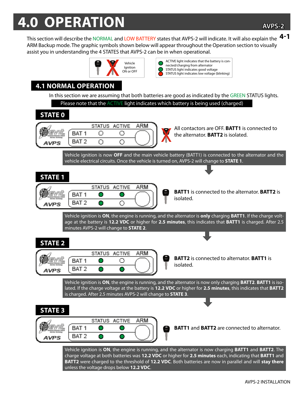## **4.0 OPERATION**

This section will describe the NORMAL and LOW BATTERY states that AVPS-2 will indicate. It will also explain the **4-1** ARM Backup mode. The graphic symbols shown below will appear throughout the Operation section to visually assist you in understanding the 4 STATES that AVPS-2 can be in when operational.



ACTIVE light indicates that the battery is connected/charging from alternator STATUS light indicates good voltage STATUS light indicates low voltage (blinking)

## **4.1 NORMAL OPERATION**

In this section we are assuming that both batteries are good as indicated by the GREEN STATUS lights. Please note that the **ACTIVE** light indicates which battery is being used (charged)

## **STATE 0**



All contactors are OFF. **BATT1** is connected to the alternator. **BATT2** is isolated.

Vehicle ignition is now **OFF** and the main vehicle battery (BATT1) is connected to the alternator and the vehicle electrical circuits. Once the vehicle is turned on, AVPS-2 will change to **STATE 1**.

## **STATE 1**



**BATT1** is connected to the alternator. **BATT2** is isolated.

Vehicle ignition is **ON**, the engine is running, and the alternator is **only** charging **BATT1**. If the charge voltage at the battery is **12.2 VDC** or higher for **2.5 minutes**, this indicates that **BATT1** is charged. After 2.5 minutes AVPS-2 will change to **STATE 2**.

## **STATE 2**



**BATT2** is connected to alternator. **BATT1** is isolated.

Vehicle ignition is **ON**, the engine is running, and the alternator is now only charging **BATT2**. **BATT1** is isolated. If the charge voltage at the battery is **12.2 VDC** or higher for **2.5 minutes**, this indicates that **BATT2** is charged. After 2.5 minutes AVPS-2 will change to **STATE 3**.

### **STATE 3**



**BATT1** and **BATT2** are connected to alternator.

Vehicle ignition is **ON**, the engine is running, and the alternator is now charging **BATT1** and **BATT2**. The charge voltage at both batteries was **12.2 VDC** or higher for **2.5 minutes** each, indicating that **BATT1** and **BATT2** were charged to the threshold of **12.2 VDC**. Both batteries are now in parallel and will **stay there** unless the voltage drops below **12.2 VDC**.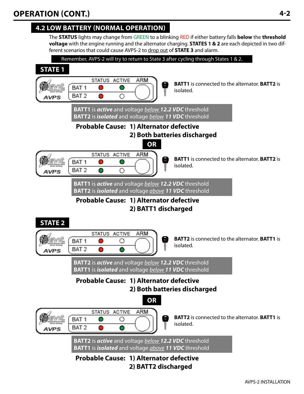## **4.2 low battery (NORMAL OPERATION)**

The **STATUS** lights may change from GREEN to a blinking RED if either battery falls **below** the **threshold voltage** with the engine running and the alternator charging. **STATES 1 & 2** are each depicted in two different scenarios that could cause AVPS-2 to drop out of **STATE 3** and alarm.

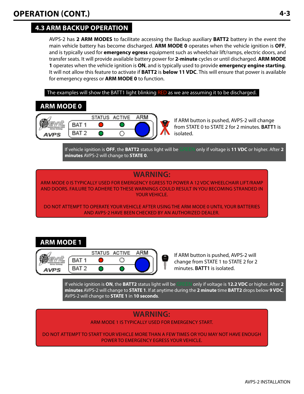## **4.3 arm backup operation**

AVPS-2 has **2 ARM MODES** to facilitate accessing the Backup auxiliary **BATT2** battery in the event the main vehicle battery has become discharged. **ARM MODE 0** operates when the vehicle ignition is **OFF**, and is typically used for **emergency egress** equipment such as wheelchair lift/ramps, electric doors, and transfer seats. It will provide available battery power for **2-minute** cycles or until discharged. **ARM MODE 1** operates when the vehicle ignition is **ON**, and is typically used to provide **emergency engine starting**. It will not allow this feature to activate if **BATT2** is **below 11 VDC**. This will ensure that power is available for emergency egress or **ARM MODE 0** to function.

The examples will show the BATT1 light blinking RED as we are assuming it to be discharged.

## **Arm mode 0**



If ARM button is pushed, AVPS-2 will change from STATE 0 to STATE 2 for 2 minutes. **BATT1** is isolated.

If vehicle ignition is **OFF**, the **BATT2** status light will be GREEN only if voltage is **11 VDC** or higher. After **2 minutes** AVPS-2 will change to **STATE 0**.

## **WARNING:**

ARM MODE 0 is typically used for EMERGENCY EGRESS to power a 12 VDC wheelchair lift/ramp and doors. Failure to adhere to these warnings could result in you becoming stranded in your vehicle.

DO NOT attempt to operate your vehicle after using the ARM MODE 0 until your batteries and AVPS-2 have been checked by an authorized dealer.

## **Arm mode 1**



If ARM button is pushed, AVPS-2 will change from STATE 1 to STATE 2 for 2 minutes. **BATT1** is isolated.

If vehicle ignition is **ON**, the **BATT2** status light will be GREEN only if voltage is **12.2 VDC** or higher. After **2 minutes** AVPS-2 will change to **STATE 1**. If at anytime during the **2 minute** time **BATT2** drops below **9 VDC**, AVPS-2 will change to **STATE 1** in **10 seconds**.

## **WARNING:**

ARM MODE 1 is typically used for Emergency START.

DO NOT attempt to start your vehicle more than a few times or you may not have enough power to Emergency Egress your vehicle.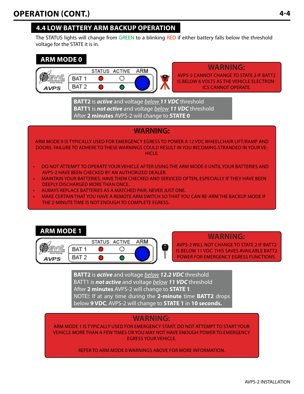## **4.4 low battery arm backup operation**

The STATUS lights will change from GREEN to a blinking RED if either battery falls below the threshold voltage for the STATE it is in.





**WARNING:**

AVPS-2 CANNOT change to STATE 2 if BATT2 is below 6 volts as the vehicle electronics cannot operate.

**BATT2** is *active* and voltage *below 11 VDC* threshold **BATT1** is *not active* and voltage *below 11 VDC* threshold After **2 minutes** AVPS-2 will change to **STATE 0**

### **WARNING:**

ARM MODE 0 is typically used for EMERGENCY EGRESS to power a 12 VDC wheelchair lift/ramp and doors. Failure to adhere to these warnings could result in you becoming stranded in your vehicle.

- DO NOT attempt to operate your vehicle after using the ARM MODE 0 until your batteries and AVPS-2 have been checked by an authorized dealer.
- MAINTAIN your batteries. Have them checked and serviced often, especially if they have been deeply discharged more than once.
- ALWAYS replace batteries as a matched pair, NEVER just one.
- MAKE CERTAIN that you have a Remote ARM Switch so that you can re-ARM the backup mode if the 2-minute time is not enough to complete egress.

## **Arm mode 1**



**WARNING:**

AVPS-2 will not change to STATE 2 if BATT2 is below 11 VDC. This saves available BATT2 power for emergency egress functions.

**BATT2** is *active* and voltage *below 12.2 VDC* threshold BATT1 is *not active* and voltage *below 11 VDC* threshold After **2 minutes** AVPS-2 will change to **STATE 1**. NOTE!: If at any time during the **2-minute** time **BATT2** drops below **9 VDC**, AVPS-2 will change to **STATE 1** in **10 seconds.**

## **WARNING:**

ARM MODE 1 is typically used for Emergency Start. DO NOT attempt to start your vehicle more than a few times or you may not have enough power to Emergency Egress your vehicle.

Refer to ARM Mode 0 WARNINGS above for more information.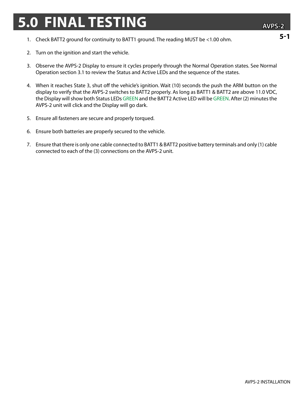## **5.0 FINAL TESTING**

**5-1**

- 1. Check BATT2 ground for continuity to BATT1 ground. The reading MUST be <1.00 ohm.
- 2. Turn on the ignition and start the vehicle.
- 3. Observe the AVPS-2 Display to ensure it cycles properly through the Normal Operation states. See Normal Operation section 3.1 to review the Status and Active LEDs and the sequence of the states.
- 4. When it reaches State 3, shut off the vehicle's ignition. Wait (10) seconds the push the ARM button on the display to verify that the AVPS-2 switches to BATT2 properly. As long as BATT1 & BATT2 are above 11.0 VDC, the Display will show both Status LEDs GREEN and the BATT2 Active LED will be GREEN. After (2) minutes the AVPS-2 unit will click and the Display will go dark.
- 5. Ensure all fasteners are secure and properly torqued.
- 6. Ensure both batteries are properly secured to the vehicle.
- 7. Ensure that there is only one cable connected to BATT1 & BATT2 positive battery terminals and only (1) cable connected to each of the (3) connections on the AVPS-2 unit.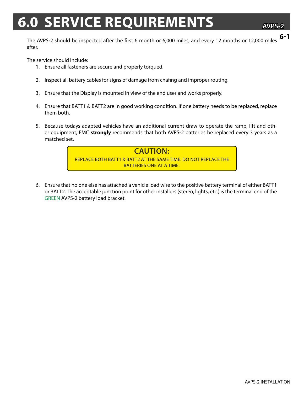## **6.0 SERVICE REQUIREMENTS**

**AVPS-2**

The AVPS-2 should be inspected after the first 6 month or 6,000 miles, and every 12 months or 12,000 miles after. **6-1**

The service should include:

- 1. Ensure all fasteners are secure and properly torqued.
- 2. Inspect all battery cables for signs of damage from chafing and improper routing.
- 3. Ensure that the Display is mounted in view of the end user and works properly.
- 4. Ensure that BATT1 & BATT2 are in good working condition. If one battery needs to be replaced, replace them both.
- 5. Because todays adapted vehicles have an additional current draw to operate the ramp, lift and other equipment, EMC **strongly** recommends that both AVPS-2 batteries be replaced every 3 years as a matched set.



6. Ensure that no one else has attached a vehicle load wire to the positive battery terminal of either BATT1 or BATT2. The acceptable junction point for other installers (stereo, lights, etc.) is the terminal end of the GREEN AVPS-2 battery load bracket.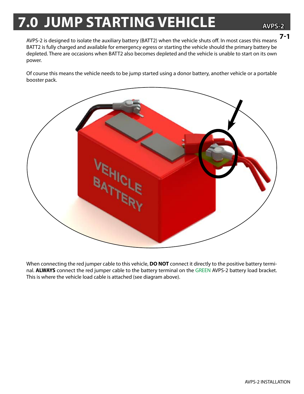## **7.0 JUMP STARTING VEHICLE**

**AVPS-2**

AVPS-2 is designed to isolate the auxiliary battery (BATT2) when the vehicle shuts off. In most cases this means BATT2 is fully charged and available for emergency egress or starting the vehicle should the primary battery be depleted. There are occasions when BATT2 also becomes depleted and the vehicle is unable to start on its own power. **7-1**

Of course this means the vehicle needs to be jump started using a donor battery, another vehicle or a portable booster pack.



When connecting the red jumper cable to this vehicle, **DO NOT** connect it directly to the positive battery terminal. **ALWAYS** connect the red jumper cable to the battery terminal on the GREEN AVPS-2 battery load bracket. This is where the vehicle load cable is attached (see diagram above).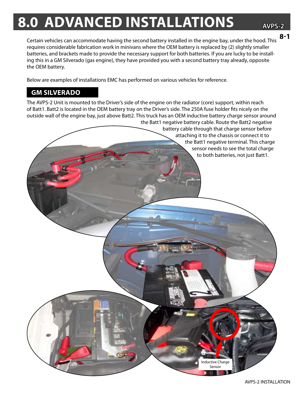## **8.0 advanced installations**

**AVPS-2**

**8-1**

Certain vehicles can accommodate having the second battery installed in the engine bay, under the hood. This requires considerable fabrication work in minivans where the OEM battery is replaced by (2) slightly smaller batteries, and brackets made to provide the necessary support for both batteries. If you are lucky to be installing this in a GM Silverado (gas engine), they have provided you with a second battery tray already, opposite the OEM battery.

Below are examples of installations EMC has performed on various vehicles for reference.

#### **GM Silverado**

The AVPS-2 Unit is mounted to the Driver's side of the engine on the radiator (core) support, within reach of Batt1. Batt2 is located in the OEM battery tray on the Driver's side. The 250A fuse holder fits nicely on the outside wall of the engine bay, just above Batt2. This truck has an OEM inductive battery charge sensor around

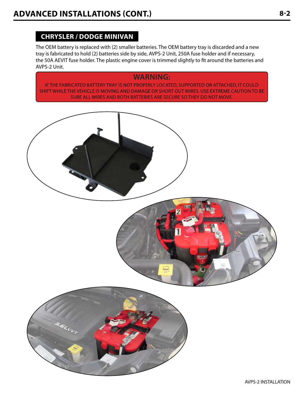#### **CHRYSLER / DODGE MINIVAN**

The OEM battery is replaced with (2) smaller batteries. The OEM battery tray is discarded and a new tray is fabricated to hold (2) batteries side by side, AVPS-2 Unit, 250A fuse holder and if necessary, the 50A AEVIT fuse holder. The plastic engine cover is trimmed slightly to fit around the batteries and AVPS-2 Unit.

### **WARNING:**

If THE FABRICATED BATTERY TRAY IS NOT PROPERLY LOCATED, SUPPORTED OR ATTACHED, IT COULD SHIFT WHILE THE VEHICLE IS MOVING AND DAMAGE OR SHORT OUT WIRES. USE EXTREME CAUTION TO BE SURE ALL WIRES AND BOTH BATTERIES ARE SECURE SO THEY DO NOT MOVE.